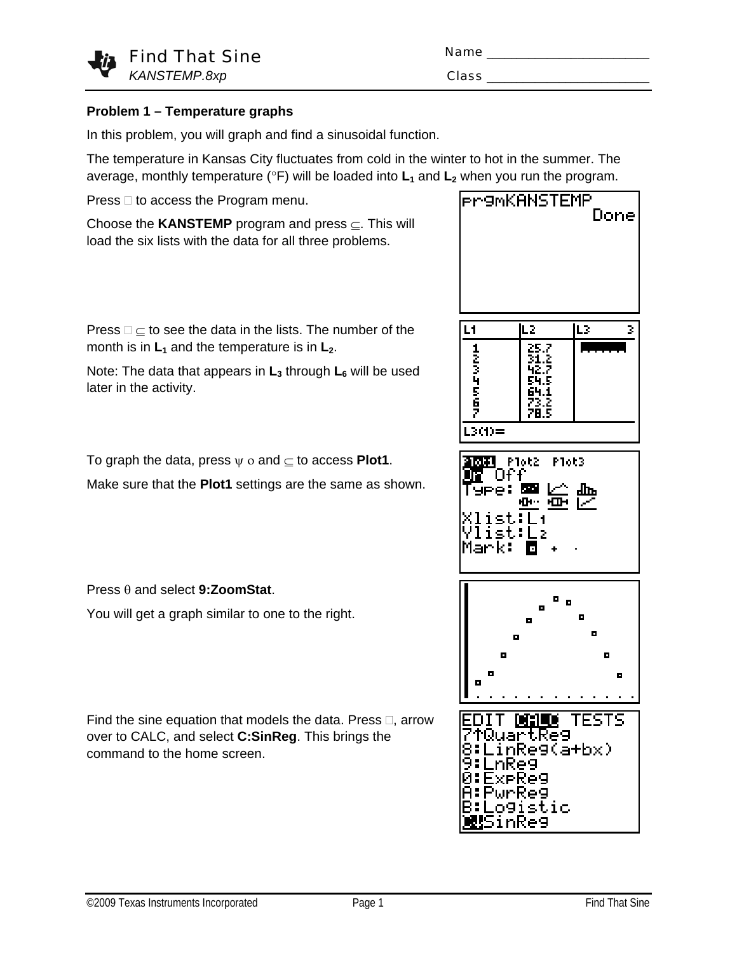

| Name         |  |
|--------------|--|
| <b>Class</b> |  |

### **Problem 1 – Temperature graphs**

In this problem, you will graph and find a sinusoidal function.

The temperature in Kansas City fluctuates from cold in the winter to hot in the summer. The average, monthly temperature ( ${}^{\circ}F$ ) will be loaded into  $L_1$  and  $L_2$  when you run the program.

Press  $\Box$  to access the Program menu.

Choose the **KANSTEMP** program and press ⊆. This will load the six lists with the data for all three problems.

Press  $\square \subseteq$  to see the data in the lists. The number of the month is in  $L_1$  and the temperature is in  $L_2$ .

Note: The data that appears in L<sub>3</sub> through L<sub>6</sub> will be used later in the activity.

To graph the data, press  $\psi$  o and  $\subset$  to access **Plot1**.

Make sure that the **Plot1** settings are the same as shown.

Press θ and select **9:ZoomStat**.

You will get a graph similar to one to the right.

Find the sine equation that models the data. Press  $\Box$ , arrow over to CALC, and select **C:SinReg**. This brings the command to the home screen.

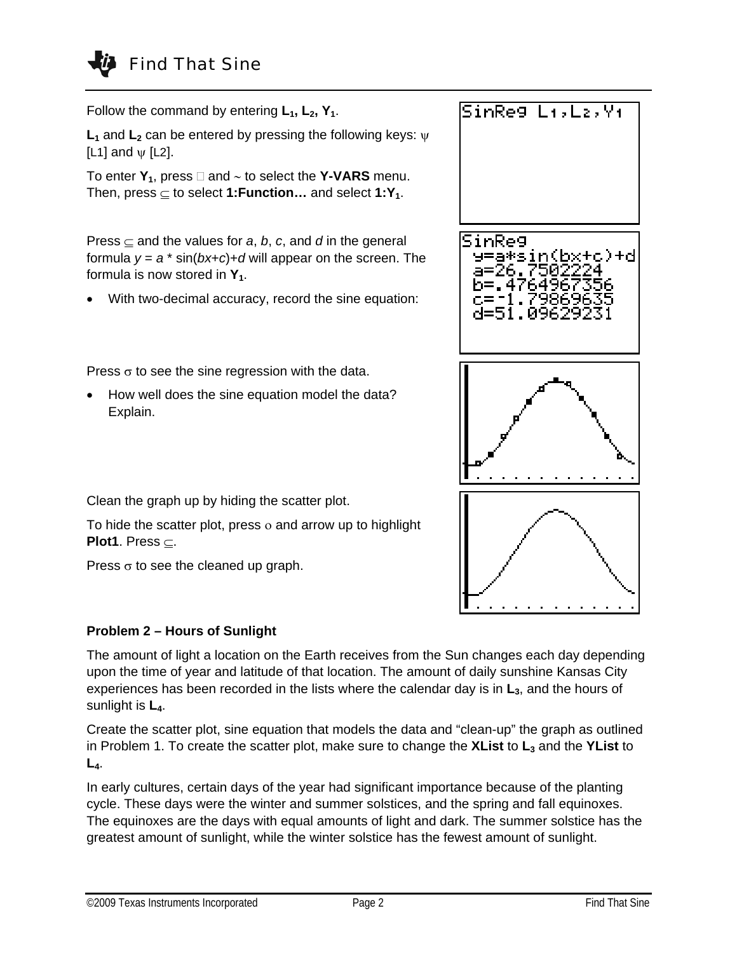# Find That Sine

Follow the command by entering  $L_1$ ,  $L_2$ ,  $Y_1$ .

**L<sub>1</sub>** and **L**<sub>2</sub> can be entered by pressing the following keys: ψ [L1] and  $\psi$  [L2].

To enter  $Y_1$ , press  $□$  and  $∼$  to select the **Y-VARS** menu. Then, press  $\subset$  to select **1: Function...** and select **1: Y**<sub>1</sub>.

Press  $\subset$  and the values for *a*, *b*, *c*, and *d* in the general formula  $y = a * sin(bx+c)+d$  will appear on the screen. The formula is now stored in  $Y_1$ .

With two-decimal accuracy, record the sine equation:

Press  $\sigma$  to see the sine regression with the data.

• How well does the sine equation model the data? Explain.



Clean the graph up by hiding the scatter plot.

To hide the scatter plot, press ο and arrow up to highlight **Plot1**. Press ⊆.

Press  $\sigma$  to see the cleaned up graph.

### **Problem 2 – Hours of Sunlight**

The amount of light a location on the Earth receives from the Sun changes each day depending upon the time of year and latitude of that location. The amount of daily sunshine Kansas City experiences has been recorded in the lists where the calendar day is in  $L<sub>3</sub>$ , and the hours of sunlight is **L4**.

Create the scatter plot, sine equation that models the data and "clean-up" the graph as outlined in Problem 1. To create the scatter plot, make sure to change the **XList** to  $L_3$  and the **YList** to **L4**.

In early cultures, certain days of the year had significant importance because of the planting cycle. These days were the winter and summer solstices, and the spring and fall equinoxes. The equinoxes are the days with equal amounts of light and dark. The summer solstice has the greatest amount of sunlight, while the winter solstice has the fewest amount of sunlight.